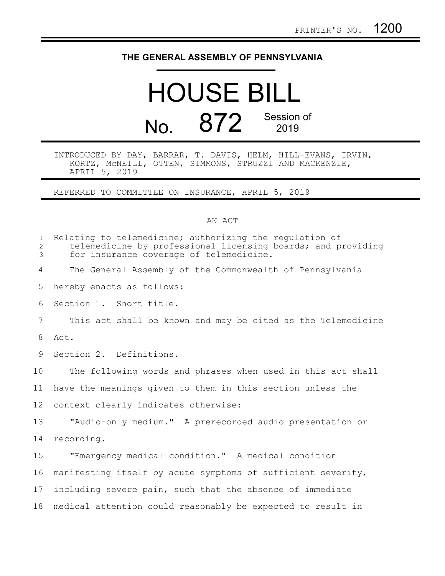## **THE GENERAL ASSEMBLY OF PENNSYLVANIA**

## HOUSE BILL No. 872 Session of

INTRODUCED BY DAY, BARRAR, T. DAVIS, HELM, HILL-EVANS, IRVIN, KORTZ, McNEILL, OTTEN, SIMMONS, STRUZZI AND MACKENZIE, APRIL 5, 2019

REFERRED TO COMMITTEE ON INSURANCE, APRIL 5, 2019

## AN ACT

| Relating to telemedicine; authorizing the regulation of<br>telemedicine by professional licensing boards; and providing<br>for insurance coverage of telemedicine. |
|--------------------------------------------------------------------------------------------------------------------------------------------------------------------|
| The General Assembly of the Commonwealth of Pennsylvania                                                                                                           |
| hereby enacts as follows:                                                                                                                                          |
| Section 1. Short title.                                                                                                                                            |
| This act shall be known and may be cited as the Telemedicine                                                                                                       |
|                                                                                                                                                                    |
| Section 2. Definitions.                                                                                                                                            |
| The following words and phrases when used in this act shall                                                                                                        |
| have the meanings given to them in this section unless the                                                                                                         |
| context clearly indicates otherwise:                                                                                                                               |
| "Audio-only medium." A prerecorded audio presentation or                                                                                                           |
|                                                                                                                                                                    |
| "Emergency medical condition." A medical condition                                                                                                                 |
| manifesting itself by acute symptoms of sufficient severity,                                                                                                       |
| including severe pain, such that the absence of immediate                                                                                                          |
| medical attention could reasonably be expected to result in                                                                                                        |
|                                                                                                                                                                    |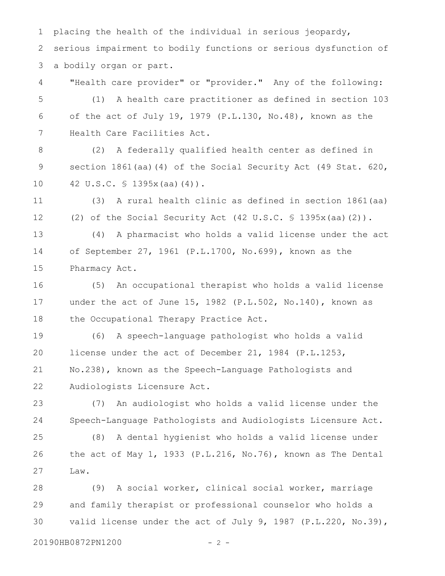placing the health of the individual in serious jeopardy, serious impairment to bodily functions or serious dysfunction of a bodily organ or part. 1 2 3

"Health care provider" or "provider." Any of the following: (1) A health care practitioner as defined in section 103 of the act of July 19, 1979 (P.L.130, No.48), known as the Health Care Facilities Act. 4 5 6 7

(2) A federally qualified health center as defined in section 1861(aa)(4) of the Social Security Act (49 Stat. 620, 42 U.S.C. § 1395x(aa)(4)). 8 9 10

(3) A rural health clinic as defined in section 1861(aa) (2) of the Social Security Act (42 U.S.C. § 1395x(aa)(2)). 11 12

(4) A pharmacist who holds a valid license under the act of September 27, 1961 (P.L.1700, No.699), known as the Pharmacy Act. 13 14 15

(5) An occupational therapist who holds a valid license under the act of June 15, 1982 (P.L.502, No.140), known as the Occupational Therapy Practice Act. 16 17 18

(6) A speech-language pathologist who holds a valid license under the act of December 21, 1984 (P.L.1253, No.238), known as the Speech-Language Pathologists and Audiologists Licensure Act. 19 20 21 22

(7) An audiologist who holds a valid license under the Speech-Language Pathologists and Audiologists Licensure Act. 23 24

(8) A dental hygienist who holds a valid license under the act of May 1, 1933 (P.L.216, No.76), known as The Dental Law. 25 26 27

(9) A social worker, clinical social worker, marriage and family therapist or professional counselor who holds a valid license under the act of July 9, 1987 (P.L.220, No.39), 28 29 30

20190HB0872PN1200 - 2 -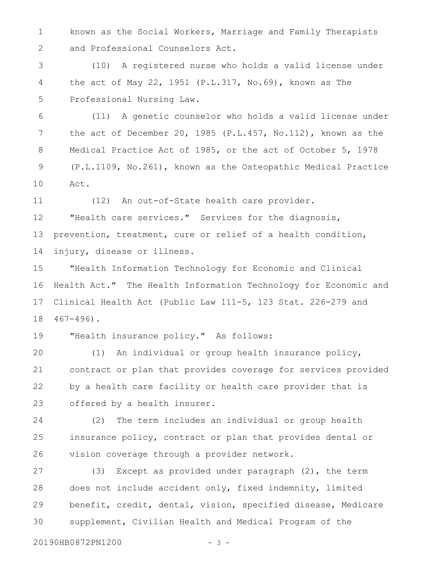known as the Social Workers, Marriage and Family Therapists and Professional Counselors Act. 1 2

(10) A registered nurse who holds a valid license under the act of May 22, 1951  $(P.L.317, No.69)$ , known as The Professional Nursing Law. 3 4 5

(11) A genetic counselor who holds a valid license under the act of December 20, 1985 (P.L.457, No.112), known as the Medical Practice Act of 1985, or the act of October 5, 1978 (P.L.1109, No.261), known as the Osteopathic Medical Practice Act. 6 7 8 9 10

(12) An out-of-State health care provider. 11

"Health care services." Services for the diagnosis, prevention, treatment, cure or relief of a health condition, injury, disease or illness. 12 13 14

"Health Information Technology for Economic and Clinical Health Act." The Health Information Technology for Economic and Clinical Health Act (Public Law 111-5, 123 Stat. 226-279 and  $467 - 496$ . 15 16 17 18

"Health insurance policy." As follows: 19

(1) An individual or group health insurance policy, contract or plan that provides coverage for services provided by a health care facility or health care provider that is offered by a health insurer. 20 21 22 23

(2) The term includes an individual or group health insurance policy, contract or plan that provides dental or vision coverage through a provider network. 24 25 26

(3) Except as provided under paragraph (2), the term does not include accident only, fixed indemnity, limited benefit, credit, dental, vision, specified disease, Medicare supplement, Civilian Health and Medical Program of the 27 28 29 30

20190HB0872PN1200 - 3 -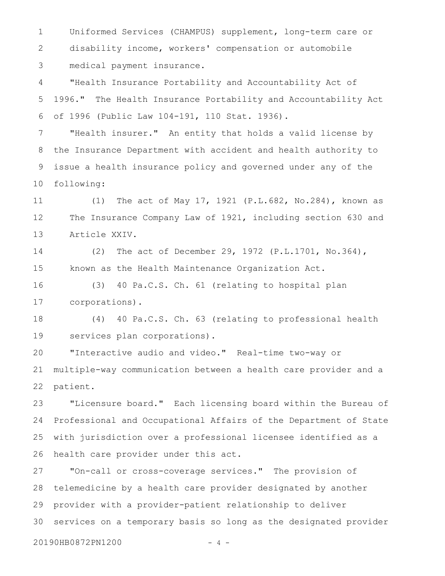Uniformed Services (CHAMPUS) supplement, long-term care or disability income, workers' compensation or automobile medical payment insurance. 1 2 3

"Health Insurance Portability and Accountability Act of 1996." The Health Insurance Portability and Accountability Act of 1996 (Public Law 104-191, 110 Stat. 1936). 4 5 6

"Health insurer." An entity that holds a valid license by the Insurance Department with accident and health authority to issue a health insurance policy and governed under any of the following: 7 8 9 10

(1) The act of May 17, 1921 (P.L.682, No.284), known as The Insurance Company Law of 1921, including section 630 and Article XXIV. 11 12 13

(2) The act of December 29, 1972 (P.L.1701, No.364), known as the Health Maintenance Organization Act. 14 15

(3) 40 Pa.C.S. Ch. 61 (relating to hospital plan corporations). 16 17

(4) 40 Pa.C.S. Ch. 63 (relating to professional health services plan corporations). 18 19

"Interactive audio and video." Real-time two-way or multiple-way communication between a health care provider and a patient. 20 21 22

"Licensure board." Each licensing board within the Bureau of Professional and Occupational Affairs of the Department of State with jurisdiction over a professional licensee identified as a health care provider under this act. 23 24 25 26

"On-call or cross-coverage services." The provision of telemedicine by a health care provider designated by another provider with a provider-patient relationship to deliver services on a temporary basis so long as the designated provider 27 28 29 30

20190HB0872PN1200 - 4 -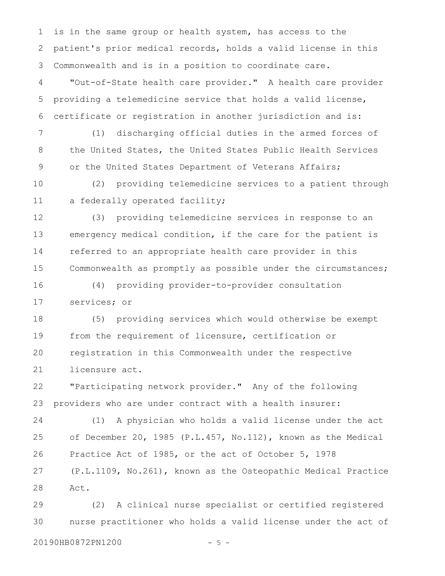is in the same group or health system, has access to the patient's prior medical records, holds a valid license in this Commonwealth and is in a position to coordinate care. 1 2 3

"Out-of-State health care provider." A health care provider providing a telemedicine service that holds a valid license, certificate or registration in another jurisdiction and is: 4 5 6

(1) discharging official duties in the armed forces of the United States, the United States Public Health Services or the United States Department of Veterans Affairs; 7 8 9

(2) providing telemedicine services to a patient through a federally operated facility; 10 11

(3) providing telemedicine services in response to an emergency medical condition, if the care for the patient is referred to an appropriate health care provider in this Commonwealth as promptly as possible under the circumstances; 12 13 14 15

(4) providing provider-to-provider consultation services; or 16 17

(5) providing services which would otherwise be exempt from the requirement of licensure, certification or registration in this Commonwealth under the respective licensure act. 18 19 20 21

"Participating network provider." Any of the following providers who are under contract with a health insurer: 22 23

(1) A physician who holds a valid license under the act of December 20, 1985 (P.L.457, No.112), known as the Medical Practice Act of 1985, or the act of October 5, 1978 (P.L.1109, No.261), known as the Osteopathic Medical Practice Act. 24 25 26 27 28

(2) A clinical nurse specialist or certified registered nurse practitioner who holds a valid license under the act of 20190HB0872PN1200 - 5 -29 30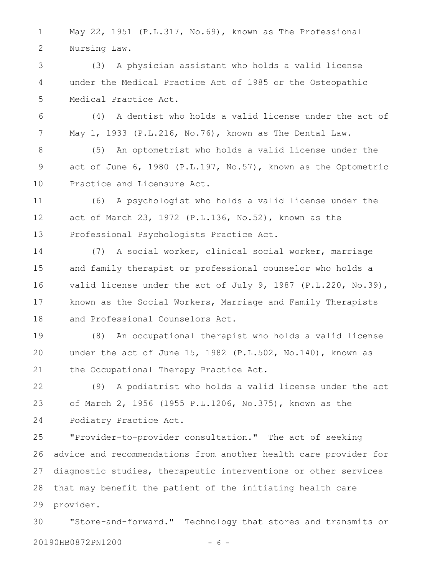May 22, 1951 (P.L.317, No.69), known as The Professional Nursing Law. 1 2

(3) A physician assistant who holds a valid license under the Medical Practice Act of 1985 or the Osteopathic Medical Practice Act. 3 4 5

(4) A dentist who holds a valid license under the act of May 1, 1933 (P.L.216, No.76), known as The Dental Law. 6 7

(5) An optometrist who holds a valid license under the act of June 6, 1980 (P.L.197, No.57), known as the Optometric Practice and Licensure Act. 8 9 10

(6) A psychologist who holds a valid license under the act of March 23, 1972 (P.L.136, No.52), known as the Professional Psychologists Practice Act. 11 12 13

(7) A social worker, clinical social worker, marriage and family therapist or professional counselor who holds a valid license under the act of July 9, 1987 (P.L.220, No.39), known as the Social Workers, Marriage and Family Therapists and Professional Counselors Act. 14 15 16 17 18

(8) An occupational therapist who holds a valid license under the act of June 15, 1982 (P.L.502, No.140), known as the Occupational Therapy Practice Act. 19 20 21

(9) A podiatrist who holds a valid license under the act of March 2, 1956 (1955 P.L.1206, No.375), known as the Podiatry Practice Act. 22 23 24

"Provider-to-provider consultation." The act of seeking advice and recommendations from another health care provider for diagnostic studies, therapeutic interventions or other services that may benefit the patient of the initiating health care provider. 25 26 27 28 29

"Store-and-forward." Technology that stores and transmits or 20190HB0872PN1200 - 6 - 30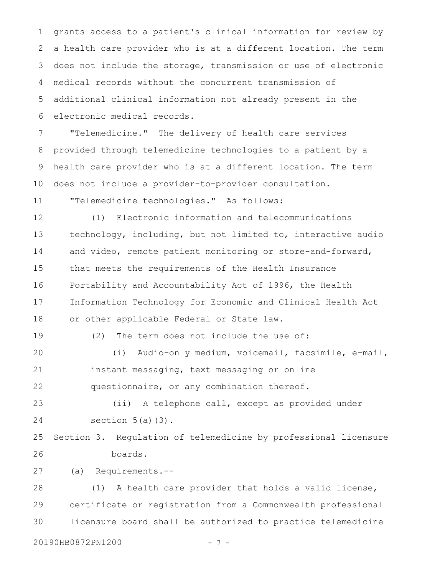grants access to a patient's clinical information for review by a health care provider who is at a different location. The term does not include the storage, transmission or use of electronic medical records without the concurrent transmission of additional clinical information not already present in the electronic medical records. 1 2 3 4 5 6

"Telemedicine." The delivery of health care services provided through telemedicine technologies to a patient by a health care provider who is at a different location. The term does not include a provider-to-provider consultation. 7 8 9 10

"Telemedicine technologies." As follows: 11

(1) Electronic information and telecommunications technology, including, but not limited to, interactive audio and video, remote patient monitoring or store-and-forward, that meets the requirements of the Health Insurance Portability and Accountability Act of 1996, the Health Information Technology for Economic and Clinical Health Act or other applicable Federal or State law. 12 13 14 15 16 17 18

19

(2) The term does not include the use of: (i) Audio-only medium, voicemail, facsimile, e-mail, instant messaging, text messaging or online 20 21

questionnaire, or any combination thereof. 22

(ii) A telephone call, except as provided under section  $5(a)(3)$ . 23 24

Section 3. Regulation of telemedicine by professional licensure boards. 25 26

(a) Requirements.-- 27

(1) A health care provider that holds a valid license, certificate or registration from a Commonwealth professional licensure board shall be authorized to practice telemedicine 28 29 30

20190HB0872PN1200 - 7 -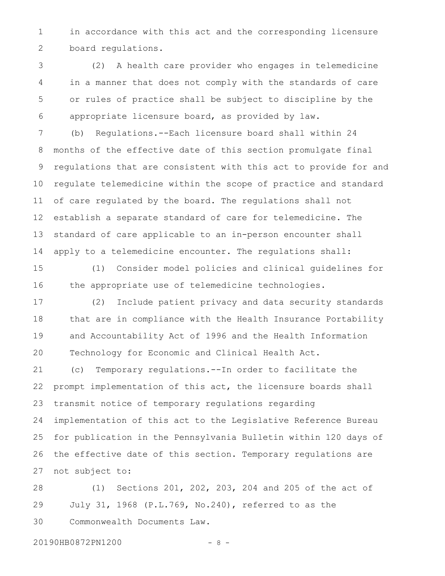in accordance with this act and the corresponding licensure board regulations. 1 2

(2) A health care provider who engages in telemedicine in a manner that does not comply with the standards of care or rules of practice shall be subject to discipline by the appropriate licensure board, as provided by law. 3 4 5 6

(b) Regulations.--Each licensure board shall within 24 months of the effective date of this section promulgate final regulations that are consistent with this act to provide for and regulate telemedicine within the scope of practice and standard of care regulated by the board. The regulations shall not establish a separate standard of care for telemedicine. The standard of care applicable to an in-person encounter shall apply to a telemedicine encounter. The regulations shall: 7 8 9 10 11 12 13 14

(1) Consider model policies and clinical guidelines for the appropriate use of telemedicine technologies. 15 16

(2) Include patient privacy and data security standards that are in compliance with the Health Insurance Portability and Accountability Act of 1996 and the Health Information Technology for Economic and Clinical Health Act. 17 18 19 20

(c) Temporary regulations.--In order to facilitate the prompt implementation of this act, the licensure boards shall transmit notice of temporary regulations regarding implementation of this act to the Legislative Reference Bureau for publication in the Pennsylvania Bulletin within 120 days of the effective date of this section. Temporary regulations are not subject to: 21 22 23 24 25 26 27

(1) Sections 201, 202, 203, 204 and 205 of the act of July 31, 1968 (P.L.769, No.240), referred to as the Commonwealth Documents Law. 28 29 30

20190HB0872PN1200 - 8 -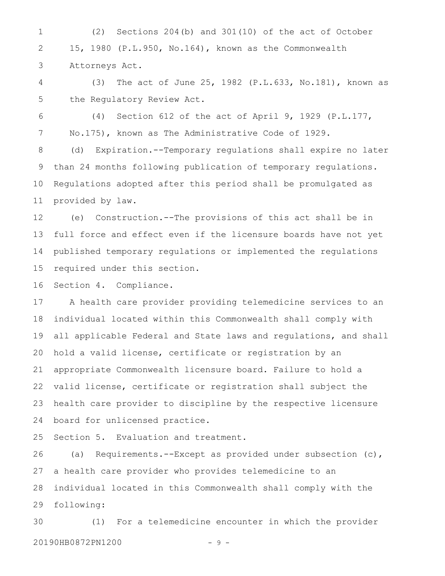(2) Sections 204(b) and 301(10) of the act of October 15, 1980 (P.L.950, No.164), known as the Commonwealth Attorneys Act. 1 2 3

(3) The act of June 25, 1982 (P.L.633, No.181), known as the Regulatory Review Act. 4 5

(4) Section 612 of the act of April 9, 1929 (P.L.177, No.175), known as The Administrative Code of 1929. 6 7

(d) Expiration.--Temporary regulations shall expire no later than 24 months following publication of temporary regulations. Regulations adopted after this period shall be promulgated as provided by law. 8 9 10 11

(e) Construction.--The provisions of this act shall be in full force and effect even if the licensure boards have not yet published temporary regulations or implemented the regulations required under this section. 12 13 14 15

Section 4. Compliance. 16

A health care provider providing telemedicine services to an individual located within this Commonwealth shall comply with all applicable Federal and State laws and regulations, and shall hold a valid license, certificate or registration by an appropriate Commonwealth licensure board. Failure to hold a valid license, certificate or registration shall subject the health care provider to discipline by the respective licensure board for unlicensed practice. 17 18 19 20 21 22 23 24

Section 5. Evaluation and treatment. 25

(a) Requirements.--Except as provided under subsection (c), a health care provider who provides telemedicine to an individual located in this Commonwealth shall comply with the following: 26 27 28 29

(1) For a telemedicine encounter in which the provider 20190HB0872PN1200 - 9 -30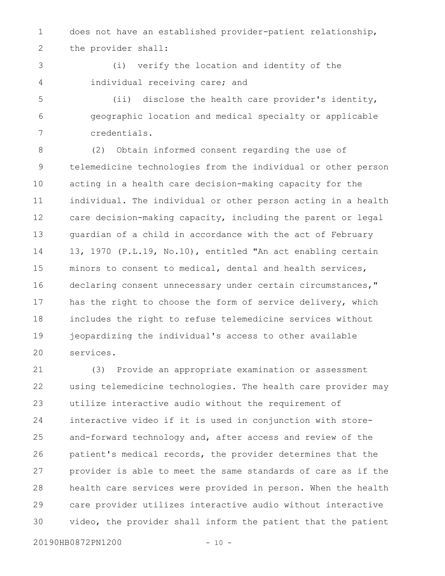does not have an established provider-patient relationship, the provider shall: 1 2

3 4

(i) verify the location and identity of the individual receiving care; and

(ii) disclose the health care provider's identity, geographic location and medical specialty or applicable credentials. 5 6 7

(2) Obtain informed consent regarding the use of telemedicine technologies from the individual or other person acting in a health care decision-making capacity for the individual. The individual or other person acting in a health care decision-making capacity, including the parent or legal guardian of a child in accordance with the act of February 13, 1970 (P.L.19, No.10), entitled "An act enabling certain minors to consent to medical, dental and health services, declaring consent unnecessary under certain circumstances," has the right to choose the form of service delivery, which includes the right to refuse telemedicine services without jeopardizing the individual's access to other available services. 8 9 10 11 12 13 14 15 16 17 18 19 20

(3) Provide an appropriate examination or assessment using telemedicine technologies. The health care provider may utilize interactive audio without the requirement of interactive video if it is used in conjunction with storeand-forward technology and, after access and review of the patient's medical records, the provider determines that the provider is able to meet the same standards of care as if the health care services were provided in person. When the health care provider utilizes interactive audio without interactive video, the provider shall inform the patient that the patient 21 22 23 24 25 26 27 28 29 30

20190HB0872PN1200 - 10 -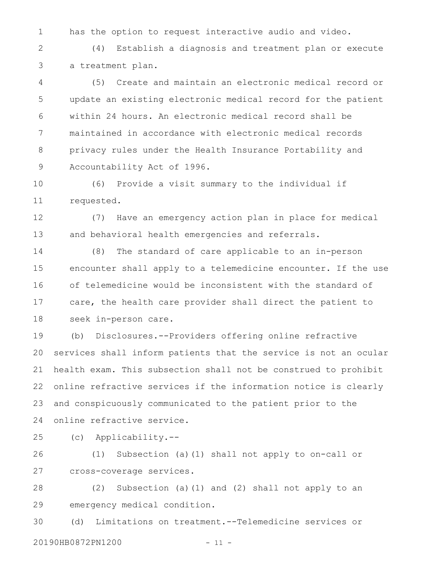has the option to request interactive audio and video. 1

(4) Establish a diagnosis and treatment plan or execute a treatment plan. 2 3

(5) Create and maintain an electronic medical record or update an existing electronic medical record for the patient within 24 hours. An electronic medical record shall be maintained in accordance with electronic medical records privacy rules under the Health Insurance Portability and Accountability Act of 1996. 4 5 6 7 8 9

(6) Provide a visit summary to the individual if requested. 10 11

(7) Have an emergency action plan in place for medical and behavioral health emergencies and referrals. 12 13

(8) The standard of care applicable to an in-person encounter shall apply to a telemedicine encounter. If the use of telemedicine would be inconsistent with the standard of care, the health care provider shall direct the patient to seek in-person care. 14 15 16 17 18

(b) Disclosures.--Providers offering online refractive services shall inform patients that the service is not an ocular health exam. This subsection shall not be construed to prohibit online refractive services if the information notice is clearly and conspicuously communicated to the patient prior to the online refractive service. 19 20 21 22 23 24

(c) Applicability.-- 25

(1) Subsection (a)(1) shall not apply to on-call or cross-coverage services. 26 27

(2) Subsection (a)(1) and (2) shall not apply to an emergency medical condition. 28 29

(d) Limitations on treatment.--Telemedicine services or 20190HB0872PN1200 - 11 -30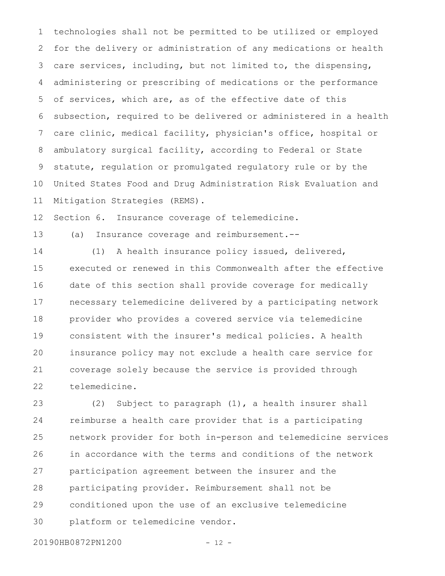technologies shall not be permitted to be utilized or employed for the delivery or administration of any medications or health care services, including, but not limited to, the dispensing, administering or prescribing of medications or the performance of services, which are, as of the effective date of this subsection, required to be delivered or administered in a health care clinic, medical facility, physician's office, hospital or ambulatory surgical facility, according to Federal or State statute, regulation or promulgated regulatory rule or by the United States Food and Drug Administration Risk Evaluation and Mitigation Strategies (REMS). 1 2 3 4 5 6 7 8 9 10 11

Section 6. Insurance coverage of telemedicine. 12

(a) Insurance coverage and reimbursement.-- 13

(1) A health insurance policy issued, delivered, executed or renewed in this Commonwealth after the effective date of this section shall provide coverage for medically necessary telemedicine delivered by a participating network provider who provides a covered service via telemedicine consistent with the insurer's medical policies. A health insurance policy may not exclude a health care service for coverage solely because the service is provided through telemedicine. 14 15 16 17 18 19 20 21 22

(2) Subject to paragraph (1), a health insurer shall reimburse a health care provider that is a participating network provider for both in-person and telemedicine services in accordance with the terms and conditions of the network participation agreement between the insurer and the participating provider. Reimbursement shall not be conditioned upon the use of an exclusive telemedicine platform or telemedicine vendor. 23 24 25 26 27 28 29 30

20190HB0872PN1200 - 12 -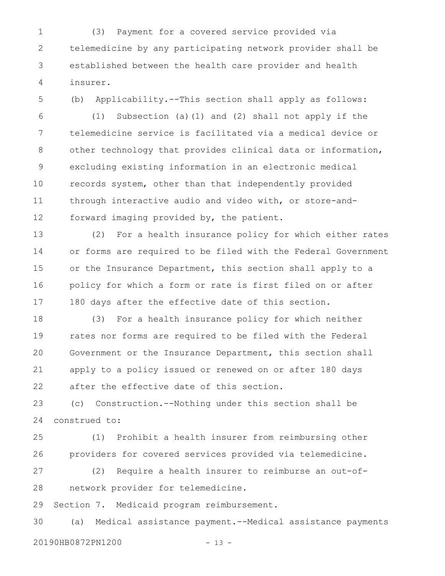(3) Payment for a covered service provided via telemedicine by any participating network provider shall be established between the health care provider and health insurer. 1 2 3 4

5

(b) Applicability.--This section shall apply as follows:

(1) Subsection (a)(1) and (2) shall not apply if the telemedicine service is facilitated via a medical device or other technology that provides clinical data or information, excluding existing information in an electronic medical records system, other than that independently provided through interactive audio and video with, or store-andforward imaging provided by, the patient. 6 7 8 9 10 11 12

(2) For a health insurance policy for which either rates or forms are required to be filed with the Federal Government or the Insurance Department, this section shall apply to a policy for which a form or rate is first filed on or after 180 days after the effective date of this section. 13 14 15 16 17

(3) For a health insurance policy for which neither rates nor forms are required to be filed with the Federal Government or the Insurance Department, this section shall apply to a policy issued or renewed on or after 180 days after the effective date of this section. 18 19 20 21 22

(c) Construction.--Nothing under this section shall be construed to: 23 24

(1) Prohibit a health insurer from reimbursing other providers for covered services provided via telemedicine. 25 26

(2) Require a health insurer to reimburse an out-ofnetwork provider for telemedicine. 27 28

Section 7. Medicaid program reimbursement. 29

(a) Medical assistance payment.--Medical assistance payments 20190HB0872PN1200 - 13 -30